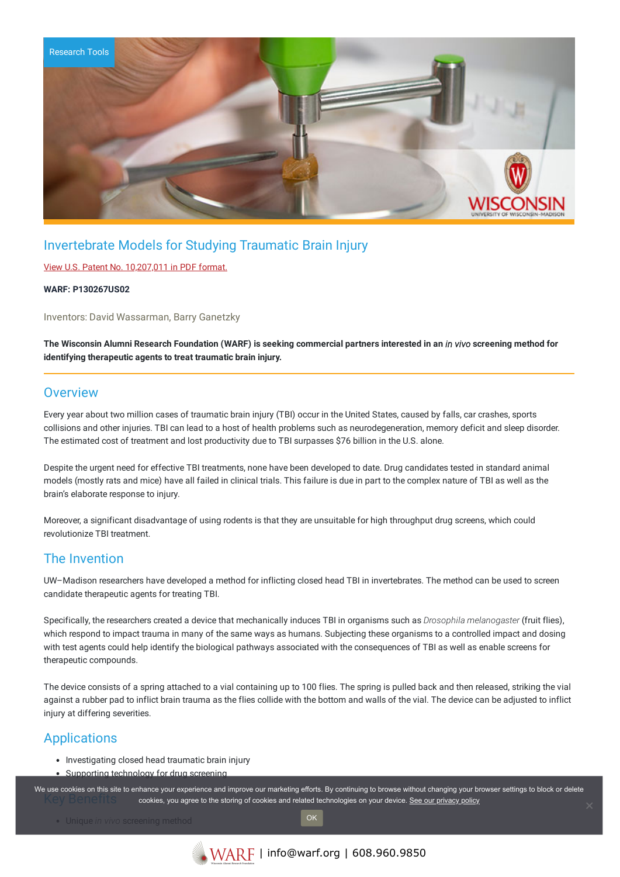

# Invertebrate Models for Studying Traumatic Brain Injury

### View U.S. Patent No. [10,207,011](https://www.warf.org/wp-content/uploads/technologies/ipstatus/P130267US02.pdf) in PDF format.

### **WARF: P130267US02**

Inventors: David Wassarman, Barry Ganetzky

The Wisconsin Alumni Research Foundation (WARF) is seeking commercial partners interested in an in vivo screening method for **identifying therapeutic agents to treat traumatic brain injury.**

### **Overview**

Every year about two million cases of traumatic brain injury (TBI) occur in the United States, caused by falls, car crashes, sports collisions and other injuries. TBI can lead to a host of health problems such as neurodegeneration, memory deficit and sleep disorder. The estimated cost of treatment and lost productivity due to TBI surpasses \$76 billion in the U.S. alone.

Despite the urgent need for effective TBI treatments, none have been developed to date. Drug candidates tested in standard animal models (mostly rats and mice) have all failed in clinical trials. This failure is due in part to the complex nature of TBI as well as the brain's elaborate response to injury.

Moreover, a significant disadvantage of using rodents is that they are unsuitable for high throughput drug screens, which could revolutionize TBI treatment.

## The Invention

UW–Madison researchers have developed a method for inflicting closed head TBI in invertebrates. The method can be used to screen candidate therapeutic agents for treating TBI.

Specifically, the researchers created a device that mechanically induces TBI in organisms such as *Drosophila melanogaster* (fruit flies), which respond to impact trauma in many of the same ways as humans. Subjecting these organisms to a controlled impact and dosing with test agents could help identify the biological pathways associated with the consequences of TBI as well as enable screens for therapeutic compounds.

The device consists of a spring attached to a vial containing up to 100 flies. The spring is pulled back and then released, striking the vial against a rubber pad to inflict brain trauma as the flies collide with the bottom and walls of the vial. The device can be adjusted to inflict injury at differing severities.

## Applications

- Investigating closed head traumatic brain injury
- Supporting technology for drug screening

We use cookies on this site to enhance your experience and improve our marketing efforts. By continuing to browse without changing your browser settings to block or delete cookies, you agree to the storing of cookies and related technologies on your device. [See our privacy policy](https://www.warf.org/privacy-policy/)

Unique *in vivo* screening method